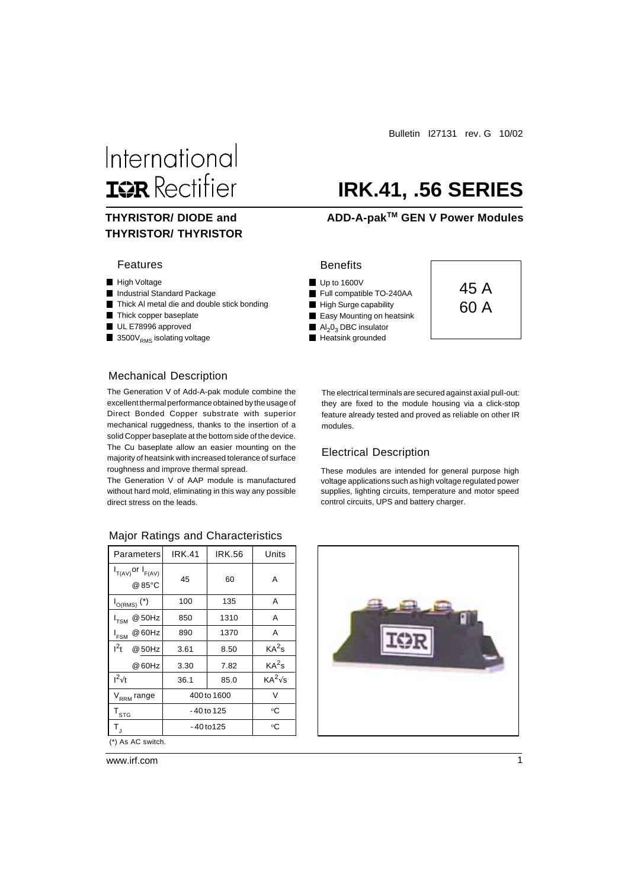## International **ISR** Rectifier

## **THYRISTOR/ THYRISTOR**

#### Features

- High Voltage
- **Industrial Standard Package**
- Thick Al metal die and double stick bonding
- Thick copper baseplate
- UL E78996 approved
- $\blacksquare$  3500 $\mathsf{V}_{\mathsf{RMS}}$  isolating voltage

#### Mechanical Description

The Generation V of Add-A-pak module combine the excellent thermal performance obtained by the usage of Direct Bonded Copper substrate with superior mechanical ruggedness, thanks to the insertion of a solid Copper baseplate at the bottom side of the device. The Cu baseplate allow an easier mounting on the majority of heatsink with increased tolerance of surface roughness and improve thermal spread.

The Generation V of AAP module is manufactured without hard mold, eliminating in this way any possible direct stress on the leads.

| Parameters                          | <b>IRK.41</b> | <b>IRK.56</b>     | Units             |  |  |  |  |  |  |
|-------------------------------------|---------------|-------------------|-------------------|--|--|--|--|--|--|
| $I_{T(AV)}$ or $I_{F(AV)}$<br>@85°C | 45            | 60                | A                 |  |  |  |  |  |  |
| $I_{O(RMS)}$ $(*)$                  | 100           | 135               | Α                 |  |  |  |  |  |  |
| $I_{TSM}$ @ 50Hz                    | 850           | 1310              | A                 |  |  |  |  |  |  |
| @ 60Hz<br>$I_{\mathsf{FSM}}$        | 890           | 1370              | A                 |  |  |  |  |  |  |
| $I^2t$<br>@ 50Hz                    | 3.61          | 8.50              | KA <sup>2</sup> s |  |  |  |  |  |  |
| @ 60Hz                              | 3.30          | KA <sup>2</sup> s |                   |  |  |  |  |  |  |
| $I^2\sqrt{t}$                       | 36.1          | 85.0              |                   |  |  |  |  |  |  |
| V <sub>RRM</sub> range              | 400 to 1600   | V                 |                   |  |  |  |  |  |  |
| $T_{\mathtt{STG}}$                  | -40 to 125    | ℃                 |                   |  |  |  |  |  |  |
| $T_{\rm J}$                         | -40 to 125    | °C                |                   |  |  |  |  |  |  |
| (*) As AC switch.                   |               |                   |                   |  |  |  |  |  |  |

#### Major Ratings and Characteristics

Bulletin I27131 rev. G 10/02

## **IRK.41, .56 SERIES**

#### **THYRISTOR/ DIODE and GEN V Power Modules**

#### **Benefits**

- Up to 1600V
- Full compatible TO-240AA
- High Surge capability
- **Easy Mounting on heatsink**
- $\blacksquare$  Al<sub>2</sub>0<sub>3</sub> DBC insulator
- Heatsink grounded



The electrical terminals are secured against axial pull-out: they are fixed to the module housing via a click-stop feature already tested and proved as reliable on other IR modules.

#### Electrical Description

These modules are intended for general purpose high voltage applications such as high voltage regulated power supplies, lighting circuits, temperature and motor speed control circuits, UPS and battery charger.

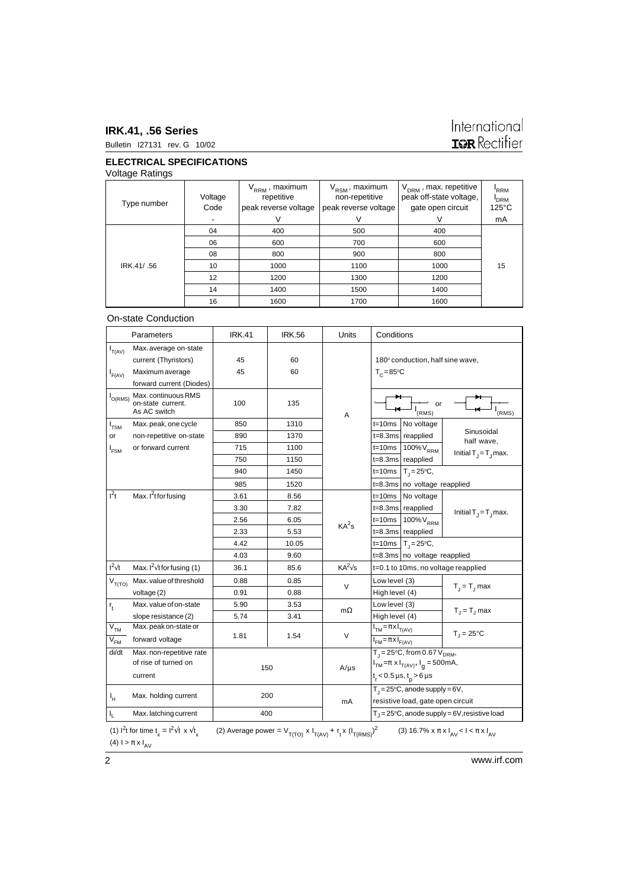#### **IRK.41, .56 Series** Bulletin I27131 rev. G 10/02

# International<br>**IGR** Rectifier

#### **ELECTRICAL SPECIFICATIONS**

Voltage Ratings

| Type number | Voltage<br>Code | $V_{RRM}$ , maximum<br>repetitive<br>peak reverse voltage | V <sub>RSM</sub> , maximum<br>non-repetitive<br>peak reverse voltage | $V_{DRM}$ , max. repetitive<br>peak off-state voltage,<br>gate open circuit | RRM <sup>'</sup><br><b>I</b> <sub>DRM</sub><br>$125^{\circ}$ C |
|-------------|-----------------|-----------------------------------------------------------|----------------------------------------------------------------------|-----------------------------------------------------------------------------|----------------------------------------------------------------|
|             |                 |                                                           |                                                                      |                                                                             | mA                                                             |
|             | 04              | 400                                                       | 500                                                                  | 400                                                                         |                                                                |
|             | 06              | 600                                                       | 700                                                                  | 600                                                                         |                                                                |
|             | 08              | 800                                                       | 900                                                                  | 800                                                                         |                                                                |
| IRK.41/.56  | 10              | 1000                                                      | 1100                                                                 | 1000                                                                        | 15                                                             |
|             | 12              | 1200                                                      | 1300                                                                 | 1200                                                                        |                                                                |
|             | 14              | 1400                                                      | 1500                                                                 | 1400                                                                        |                                                                |
|             | 16              | 1600                                                      | 1700                                                                 | 1600                                                                        |                                                                |

#### On-state Conduction

| Max. average on-state<br>$I_{T(AV)}$<br>45<br>60<br>180° conduction, half sine wave,<br>current (Thyristors)<br>45<br>60<br>Maximum average<br>$T_c = 85$ °C<br>$I_{F(AV)}$<br>forward current (Diodes)<br>Max. continuous RMS<br>$I_{O(RMS)}$<br>100<br>on-state current.<br>135<br>or<br>As AC switch<br>(RMS)<br>RMS)<br>Α<br>1310<br>850<br>$t = 10ms$<br>No voltage<br>Max. peak, one cycle<br>$I_{TSM}$<br>Sinusoidal<br>890<br>1370<br>reapplied<br>non-repetitive on-state<br>$t = 8.3ms$<br>or<br>half wave,<br>or forward current<br>715<br>1100<br>$t = 10ms$<br>100% V <sub>RRM</sub><br>I <sub>FSM</sub><br>Initial $T_{\parallel} = T_{\parallel}$ max.<br>$t = 8.3ms$<br>750<br>1150<br>reapplied<br>1450<br>940<br>$t = 10ms$<br>$T_{1} = 25^{\circ}C$ ,<br>985<br>1520<br>$t = 8.3ms$<br>no voltage reapplied<br>$I^2t$<br>Max. I <sup>2</sup> t for fusing<br>No voltage<br>3.61<br>8.56<br>$t = 10ms$<br>3.30<br>7.82<br>$t = 8.3ms$ reapplied<br>Initial $T_{j} = T_{j}$ max.<br>2.56<br>6.05<br>$t = 10ms$<br>100% V <sub>RRM</sub><br>KA <sup>2</sup> s<br>5.53<br>$t = 8.3ms$<br>2.33<br>reapplied<br>4.42<br>10.05<br>$T_1 = 25^{\circ}C$ ,<br>$t = 10ms$<br>4.03<br>9.60<br>$t = 8.3 \, \text{ms}$ no voltage reapplied<br>$I^2\sqrt{t}$<br>Max. $I^2\sqrt{t}$ for fusing (1)<br>$KA^2\sqrt{s}$<br>36.1<br>t=0.1 to 10ms, no voltage reapplied<br>85.6<br>Max. value of threshold<br>0.88<br>0.85<br>Low level (3)<br>$V_{T(TO)}$<br>V<br>$T_1 = T_1$ max<br>0.91<br>0.88<br>High level (4)<br>voltage (2) |                                   |  |  |  |
|-------------------------------------------------------------------------------------------------------------------------------------------------------------------------------------------------------------------------------------------------------------------------------------------------------------------------------------------------------------------------------------------------------------------------------------------------------------------------------------------------------------------------------------------------------------------------------------------------------------------------------------------------------------------------------------------------------------------------------------------------------------------------------------------------------------------------------------------------------------------------------------------------------------------------------------------------------------------------------------------------------------------------------------------------------------------------------------------------------------------------------------------------------------------------------------------------------------------------------------------------------------------------------------------------------------------------------------------------------------------------------------------------------------------------------------------------------------------------------------------------------------------------------------|-----------------------------------|--|--|--|
|                                                                                                                                                                                                                                                                                                                                                                                                                                                                                                                                                                                                                                                                                                                                                                                                                                                                                                                                                                                                                                                                                                                                                                                                                                                                                                                                                                                                                                                                                                                                     |                                   |  |  |  |
|                                                                                                                                                                                                                                                                                                                                                                                                                                                                                                                                                                                                                                                                                                                                                                                                                                                                                                                                                                                                                                                                                                                                                                                                                                                                                                                                                                                                                                                                                                                                     |                                   |  |  |  |
|                                                                                                                                                                                                                                                                                                                                                                                                                                                                                                                                                                                                                                                                                                                                                                                                                                                                                                                                                                                                                                                                                                                                                                                                                                                                                                                                                                                                                                                                                                                                     |                                   |  |  |  |
|                                                                                                                                                                                                                                                                                                                                                                                                                                                                                                                                                                                                                                                                                                                                                                                                                                                                                                                                                                                                                                                                                                                                                                                                                                                                                                                                                                                                                                                                                                                                     |                                   |  |  |  |
|                                                                                                                                                                                                                                                                                                                                                                                                                                                                                                                                                                                                                                                                                                                                                                                                                                                                                                                                                                                                                                                                                                                                                                                                                                                                                                                                                                                                                                                                                                                                     |                                   |  |  |  |
|                                                                                                                                                                                                                                                                                                                                                                                                                                                                                                                                                                                                                                                                                                                                                                                                                                                                                                                                                                                                                                                                                                                                                                                                                                                                                                                                                                                                                                                                                                                                     |                                   |  |  |  |
|                                                                                                                                                                                                                                                                                                                                                                                                                                                                                                                                                                                                                                                                                                                                                                                                                                                                                                                                                                                                                                                                                                                                                                                                                                                                                                                                                                                                                                                                                                                                     |                                   |  |  |  |
|                                                                                                                                                                                                                                                                                                                                                                                                                                                                                                                                                                                                                                                                                                                                                                                                                                                                                                                                                                                                                                                                                                                                                                                                                                                                                                                                                                                                                                                                                                                                     |                                   |  |  |  |
|                                                                                                                                                                                                                                                                                                                                                                                                                                                                                                                                                                                                                                                                                                                                                                                                                                                                                                                                                                                                                                                                                                                                                                                                                                                                                                                                                                                                                                                                                                                                     |                                   |  |  |  |
|                                                                                                                                                                                                                                                                                                                                                                                                                                                                                                                                                                                                                                                                                                                                                                                                                                                                                                                                                                                                                                                                                                                                                                                                                                                                                                                                                                                                                                                                                                                                     |                                   |  |  |  |
|                                                                                                                                                                                                                                                                                                                                                                                                                                                                                                                                                                                                                                                                                                                                                                                                                                                                                                                                                                                                                                                                                                                                                                                                                                                                                                                                                                                                                                                                                                                                     |                                   |  |  |  |
|                                                                                                                                                                                                                                                                                                                                                                                                                                                                                                                                                                                                                                                                                                                                                                                                                                                                                                                                                                                                                                                                                                                                                                                                                                                                                                                                                                                                                                                                                                                                     |                                   |  |  |  |
|                                                                                                                                                                                                                                                                                                                                                                                                                                                                                                                                                                                                                                                                                                                                                                                                                                                                                                                                                                                                                                                                                                                                                                                                                                                                                                                                                                                                                                                                                                                                     |                                   |  |  |  |
|                                                                                                                                                                                                                                                                                                                                                                                                                                                                                                                                                                                                                                                                                                                                                                                                                                                                                                                                                                                                                                                                                                                                                                                                                                                                                                                                                                                                                                                                                                                                     |                                   |  |  |  |
|                                                                                                                                                                                                                                                                                                                                                                                                                                                                                                                                                                                                                                                                                                                                                                                                                                                                                                                                                                                                                                                                                                                                                                                                                                                                                                                                                                                                                                                                                                                                     |                                   |  |  |  |
|                                                                                                                                                                                                                                                                                                                                                                                                                                                                                                                                                                                                                                                                                                                                                                                                                                                                                                                                                                                                                                                                                                                                                                                                                                                                                                                                                                                                                                                                                                                                     |                                   |  |  |  |
|                                                                                                                                                                                                                                                                                                                                                                                                                                                                                                                                                                                                                                                                                                                                                                                                                                                                                                                                                                                                                                                                                                                                                                                                                                                                                                                                                                                                                                                                                                                                     |                                   |  |  |  |
|                                                                                                                                                                                                                                                                                                                                                                                                                                                                                                                                                                                                                                                                                                                                                                                                                                                                                                                                                                                                                                                                                                                                                                                                                                                                                                                                                                                                                                                                                                                                     |                                   |  |  |  |
|                                                                                                                                                                                                                                                                                                                                                                                                                                                                                                                                                                                                                                                                                                                                                                                                                                                                                                                                                                                                                                                                                                                                                                                                                                                                                                                                                                                                                                                                                                                                     |                                   |  |  |  |
|                                                                                                                                                                                                                                                                                                                                                                                                                                                                                                                                                                                                                                                                                                                                                                                                                                                                                                                                                                                                                                                                                                                                                                                                                                                                                                                                                                                                                                                                                                                                     |                                   |  |  |  |
| Max. value of on-state<br>5.90<br>3.53<br>Low level (3)<br>$r_{t}$                                                                                                                                                                                                                                                                                                                                                                                                                                                                                                                                                                                                                                                                                                                                                                                                                                                                                                                                                                                                                                                                                                                                                                                                                                                                                                                                                                                                                                                                  | $T_{\rm J}$ = $T_{\rm J}$ max     |  |  |  |
| mΩ<br>5.74<br>slope resistance (2)<br>3.41<br>High level (4)                                                                                                                                                                                                                                                                                                                                                                                                                                                                                                                                                                                                                                                                                                                                                                                                                                                                                                                                                                                                                                                                                                                                                                                                                                                                                                                                                                                                                                                                        |                                   |  |  |  |
| $V_{TM}$<br>Max. peak on-state or<br>$I_{TM} = \pi \times I_{T(A \vee)}$<br>$T_1 = 25^{\circ}C$                                                                                                                                                                                                                                                                                                                                                                                                                                                                                                                                                                                                                                                                                                                                                                                                                                                                                                                                                                                                                                                                                                                                                                                                                                                                                                                                                                                                                                     |                                   |  |  |  |
| $\vee$<br>1.81<br>1.54<br>$V_{FM}$<br>forward voltage<br>$\overline{I_{FM} = \pi \times I_{F(AV)}}$                                                                                                                                                                                                                                                                                                                                                                                                                                                                                                                                                                                                                                                                                                                                                                                                                                                                                                                                                                                                                                                                                                                                                                                                                                                                                                                                                                                                                                 |                                   |  |  |  |
| $T_{J} = 25^{\circ}C$ , from 0.67 $V_{DRM}$ ,<br>di/dt<br>Max. non-repetitive rate<br>of rise of turned on                                                                                                                                                                                                                                                                                                                                                                                                                                                                                                                                                                                                                                                                                                                                                                                                                                                                                                                                                                                                                                                                                                                                                                                                                                                                                                                                                                                                                          |                                   |  |  |  |
| $I_{TM} = \pi \times I_{T(AV)}$ , $I_{q} = 500 \text{mA}$ ,<br>150<br>$A/\mu s$                                                                                                                                                                                                                                                                                                                                                                                                                                                                                                                                                                                                                                                                                                                                                                                                                                                                                                                                                                                                                                                                                                                                                                                                                                                                                                                                                                                                                                                     |                                   |  |  |  |
| current                                                                                                                                                                                                                                                                                                                                                                                                                                                                                                                                                                                                                                                                                                                                                                                                                                                                                                                                                                                                                                                                                                                                                                                                                                                                                                                                                                                                                                                                                                                             | $t_r$ < 0.5 µs, $t_p$ > 6 µs      |  |  |  |
| $T_1 = 25^{\circ}C$ , anode supply = 6V,<br>200<br>Max. holding current<br>ı"                                                                                                                                                                                                                                                                                                                                                                                                                                                                                                                                                                                                                                                                                                                                                                                                                                                                                                                                                                                                                                                                                                                                                                                                                                                                                                                                                                                                                                                       |                                   |  |  |  |
| mA                                                                                                                                                                                                                                                                                                                                                                                                                                                                                                                                                                                                                                                                                                                                                                                                                                                                                                                                                                                                                                                                                                                                                                                                                                                                                                                                                                                                                                                                                                                                  | resistive load, gate open circuit |  |  |  |
| 400<br>Max. latching current<br>$T_{\rm J}$ = 25°C, anode supply = 6V, resistive load<br>I <sub>L</sub>                                                                                                                                                                                                                                                                                                                                                                                                                                                                                                                                                                                                                                                                                                                                                                                                                                                                                                                                                                                                                                                                                                                                                                                                                                                                                                                                                                                                                             |                                   |  |  |  |

(1) I<sup>2</sup>t for time  $t_x = 1^2 \sqrt{t} \times \sqrt{t}$ x (2) Average power =  $V_{T(TO)} x I_{T(AV)} + r_t x (I_{T(RMS)})$ (3) 16.7% x π x  $I_{AV}$  <  $I$  < π x  $I_{AV}$ (4)  $\mathsf{I}>\pi\times\mathsf{I}_{\textsf{AV}}$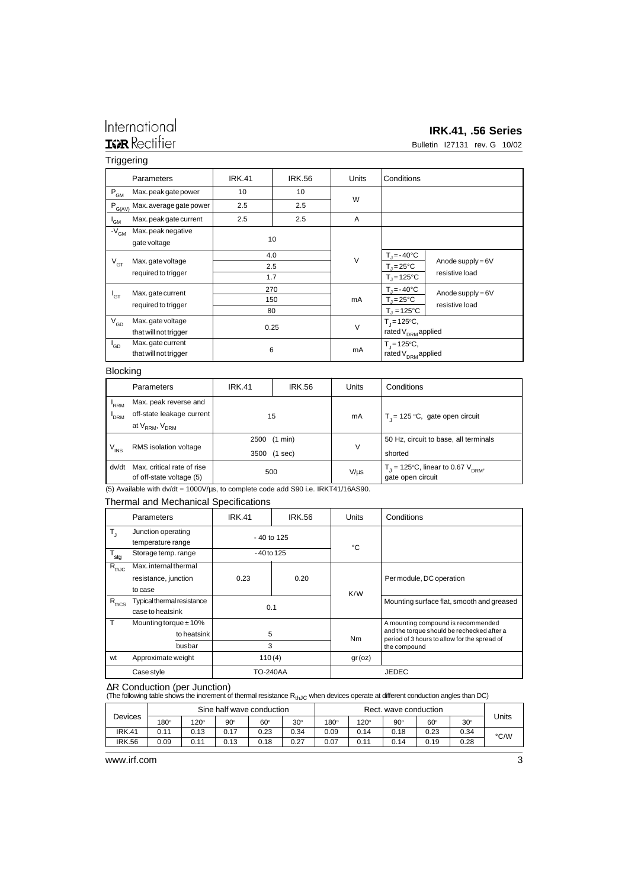### International **IGR** Rectifier

#### **IRK.41, .56 Series**

Bulletin I27131 rev. G 10/02

#### **Triggering**

|                                 | Parameters                                 | <b>IRK.41</b>     | <b>IRK.56</b> | <b>Units</b> | Conditions                                                            |                                       |  |
|---------------------------------|--------------------------------------------|-------------------|---------------|--------------|-----------------------------------------------------------------------|---------------------------------------|--|
| $P_{GM}$                        | Max. peak gate power                       | 10                | 10            |              |                                                                       |                                       |  |
| $P_{G(\underline{AV})}$         | Max. average gate power                    | 2.5               | 2.5           | W            |                                                                       |                                       |  |
| l <sub>GM</sub>                 | Max. peak gate current                     | 2.5               | 2.5           | A            |                                                                       |                                       |  |
| $\cdot$ - $\bar{V}_{\text{GM}}$ | Max. peak negative<br>gate voltage         |                   | 10            |              |                                                                       |                                       |  |
| $V_{GT}$                        | Max. gate voltage<br>required to trigger   | 4.0<br>2.5<br>1.7 |               | $\vee$       | $T_{\parallel}$ = -40°C<br>$T_{\rm J}$ = 25°C<br>$T_1 = 125^{\circ}C$ | Anode supply = $6V$<br>resistive load |  |
| $I_{\text{GT}}$                 | Max. gate current<br>required to trigger   | 270<br>150<br>80  |               | mA           | $T_i = -40$ °C<br>$T_{\rm J}$ = 25°C<br>$T_1 = 125^{\circ}C$          | Anode supply = $6V$<br>resistive load |  |
| $\sqrt{\sqrt{3}}$               | Max.gate voltage<br>that will not trigger  | 0.25              |               | $\vee$       | $T_i = 125^{\circ}C$ ,<br>rated V <sub>DRM</sub> applied              |                                       |  |
| $I_{GD}$                        | Max. gate current<br>that will not trigger | 6                 |               | mA           | $T_i = 125^{\circ}C$ ,<br>rated V <sub>DRM</sub> applied              |                                       |  |

#### Blocking

|               | Parameters                                             | <b>IRK.41</b> | <b>IRK.56</b> | Units     | Conditions                                                             |  |  |
|---------------|--------------------------------------------------------|---------------|---------------|-----------|------------------------------------------------------------------------|--|--|
| <b>RRM</b>    | Max. peak reverse and                                  |               |               |           |                                                                        |  |  |
| <b>DRM</b>    | off-state leakage current                              |               | 15            | mA        | T <sub>1</sub> = 125 °C, gate open circuit                             |  |  |
|               | at V <sub>RRM</sub> , V <sub>DRM</sub>                 |               |               |           |                                                                        |  |  |
|               |                                                        |               | 2500 (1 min)  |           | 50 Hz, circuit to base, all terminals                                  |  |  |
| $\rm V_{INS}$ | RMS isolation voltage                                  | 3500 (1 sec)  |               | V         | shorted                                                                |  |  |
| dv/dt         | Max, critical rate of rise<br>of off-state voltage (5) |               | 500           | $V/\mu s$ | $T_1 = 125^{\circ}C$ , linear to 0.67 $V_{DRM}$ ,<br>gate open circuit |  |  |

(5) Available with dv/dt = 1000V/µs, to complete code add S90 i.e. IRKT41/16AS90.

#### Thermal and Mechanical Specifications

|                  | Parameters                              | <b>IRK.41</b> | <b>IRK.56</b> | <b>Units</b> | Conditions                                                                                 |  |  |
|------------------|-----------------------------------------|---------------|---------------|--------------|--------------------------------------------------------------------------------------------|--|--|
| Т,               | Junction operating<br>temperature range |               | $-40$ to 125  | °C           |                                                                                            |  |  |
| $T_{\text{stg}}$ | Storage temp. range                     | $-40$ to 125  |               |              |                                                                                            |  |  |
| $R_{thJC}$       | Max. internal thermal                   |               |               |              |                                                                                            |  |  |
|                  | resistance, junction                    | 0.23<br>0.20  |               |              | Per module, DC operation                                                                   |  |  |
|                  | to case                                 |               |               | K/W          |                                                                                            |  |  |
| $R_{thCS}$       | Typical thermal resistance              | 0.1           |               |              | Mounting surface flat, smooth and greased                                                  |  |  |
|                  | case to heatsink                        |               |               |              |                                                                                            |  |  |
|                  | Mounting torque $\pm$ 10%               | 5<br>3        |               |              | A mounting compound is recommended                                                         |  |  |
|                  | to heatsink                             |               |               | <b>Nm</b>    | and the torque should be rechecked after a<br>period of 3 hours to allow for the spread of |  |  |
|                  | busbar                                  |               |               |              | the compound                                                                               |  |  |
| wt               | Approximate weight                      | 110(4)        |               | gr(oz)       |                                                                                            |  |  |
|                  | TO-240AA<br>Case style                  |               |               | JEDEC        |                                                                                            |  |  |

∆R Conduction (per Junction)<br>(The following table shows the increment of thermal resistance R<sub>thJC</sub> when devices operate at different conduction angles than DC)

|               |             |             | Sine half wave conduction |            |            |             |             | Rect. wave conduction |            |            |       |
|---------------|-------------|-------------|---------------------------|------------|------------|-------------|-------------|-----------------------|------------|------------|-------|
| Devices       | $180^\circ$ | $120^\circ$ | $90^\circ$                | $60^\circ$ | $30^\circ$ | $180^\circ$ | $120^\circ$ | $90^\circ$            | $60^\circ$ | $30^\circ$ | Units |
| <b>IRK.41</b> | 0.11        | ა.13        | ა.17                      | 0.23       | 0.34       | 0.09        | 0.14        | 0.18                  | 0.23       | 0.34       | °C/W  |
| <b>IRK.56</b> | 0.09        | J.11        | 0.13                      | 0.18       | 0.27       | 0.07        | 0.11        | 0.14                  | 0.19       | 0.28       |       |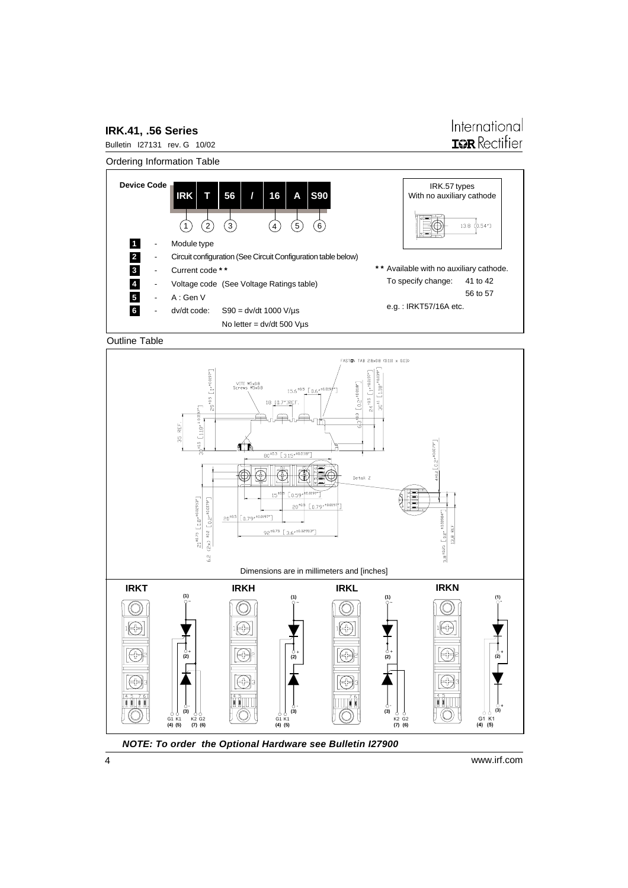#### **IRK.41, .56 Series**

#### International **IGR** Rectifier





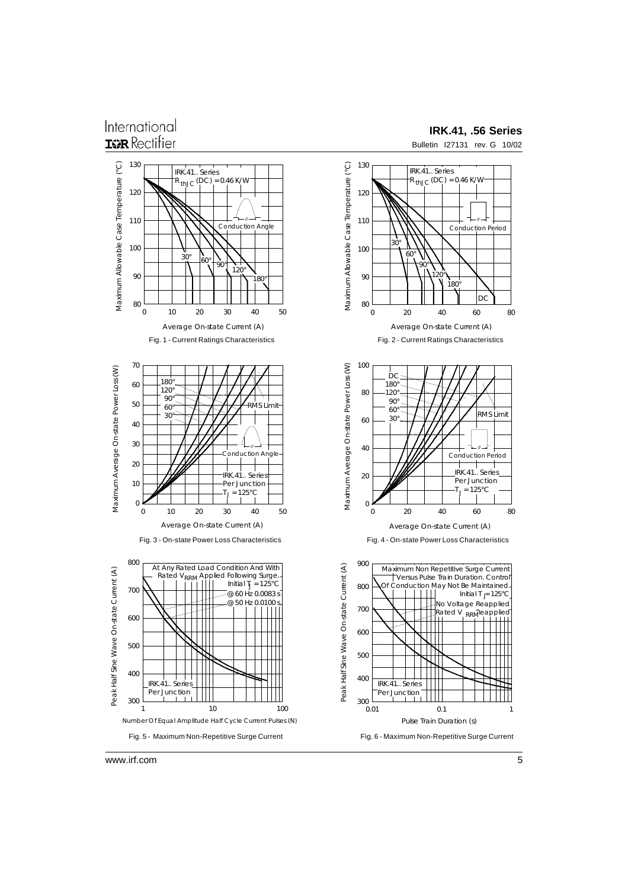#### International **ISR** Rectifier

#### **IRK.41, .56 Series**



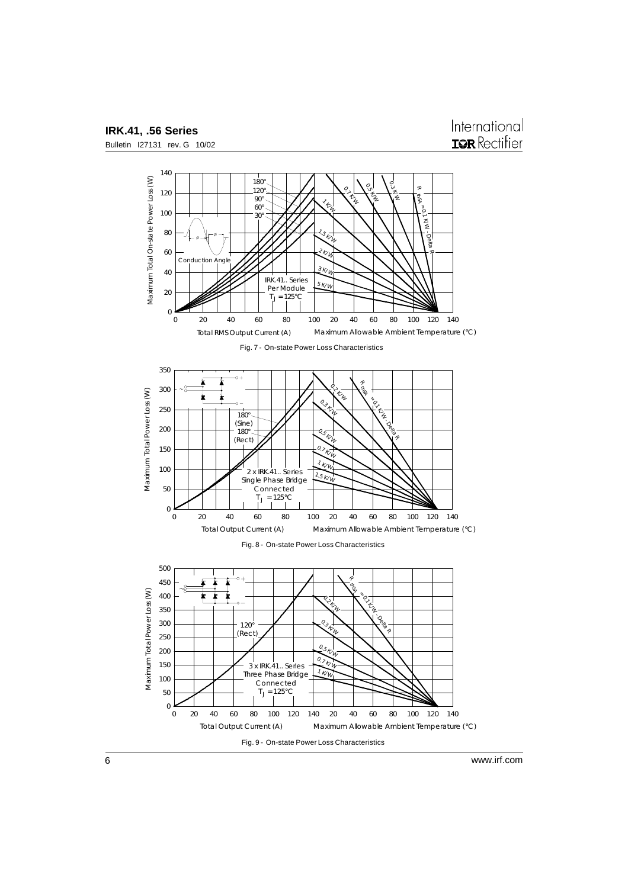

**IRK.41, .56 Series** Bulletin I27131 rev. G 10/02

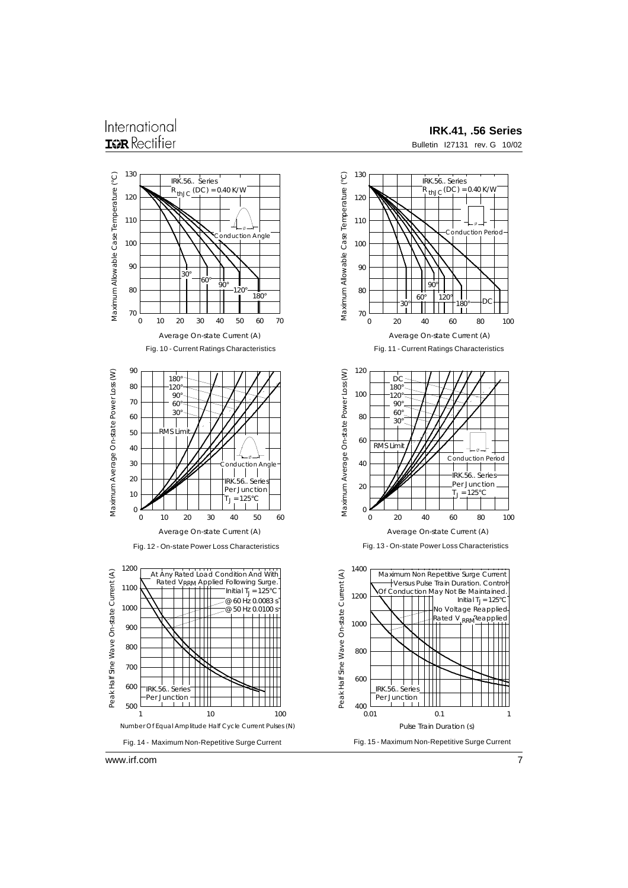#### International **ISR** Rectifier

#### **IRK.41, .56 Series**

Bulletin I27131 rev. G 10/02

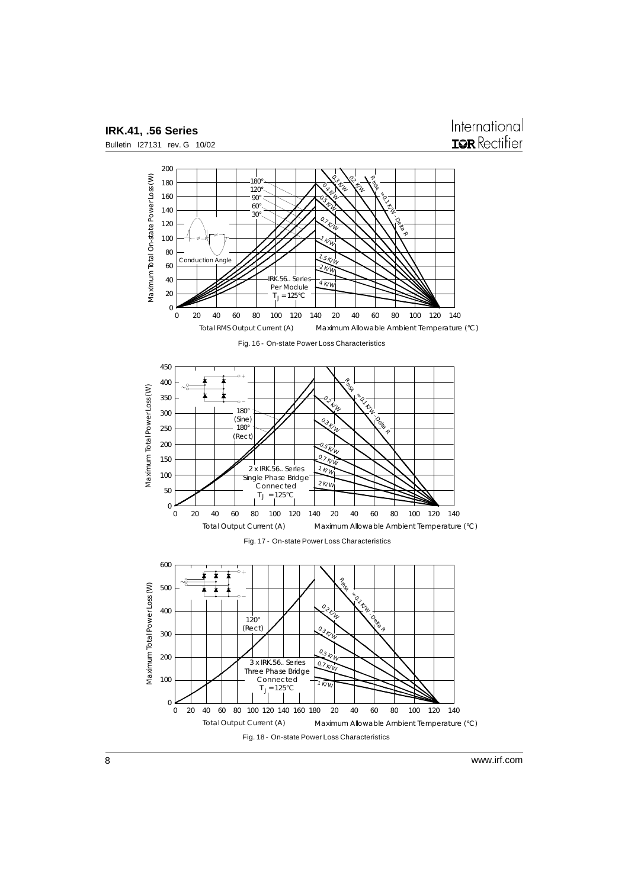

www.irf.com

8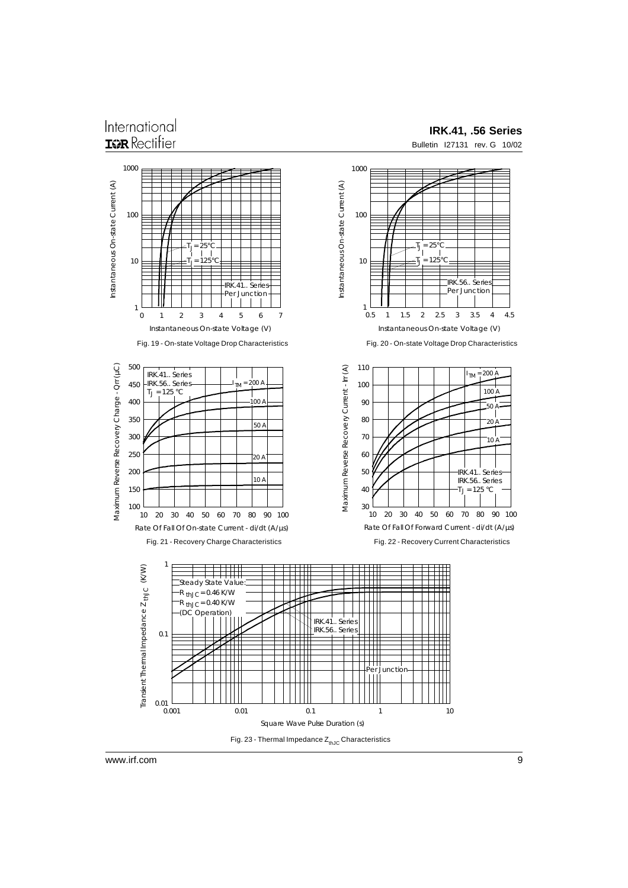#### International **IGR** Rectifier

#### **IRK.41, .56 Series**

Bulletin I27131 rev. G 10/02